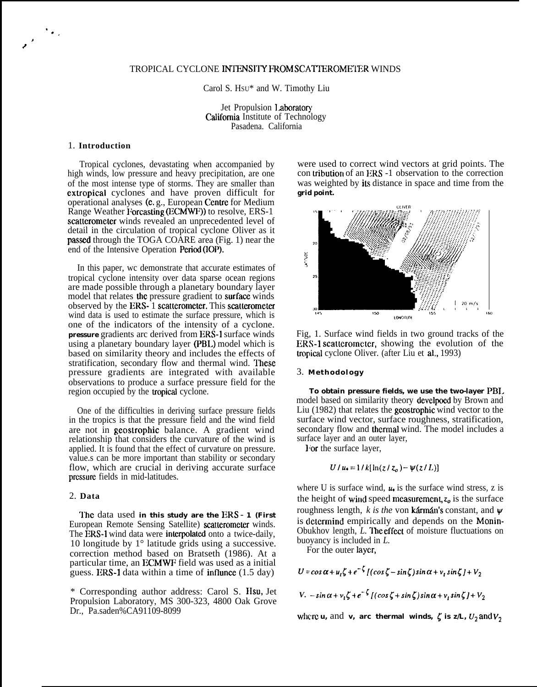# TROPICAL CYCLONE INTENSITY FROM SCATTEROMETER WINDS

Carol S. HSU\* and W. Timothy Liu

Jet Propulsion Laboratory California Institute of Technology Pasadena. California

### 1. **Introduction**

'.,

, /

> Tropical cyclones, devastating when accompanied by high winds, low pressure and heavy precipitation, are one of the most intense type of storms. They are smaller than extropical cyclones and have proven difficult for operational analyses (c, g., European Centre for Medium Range Weather I'orcasting (ECMWF)) to resolve, ERS-1 scatterometer winds revealed an unprecedented level of detail in the circulation of tropical cyclone Oliver as it passed through the TOGA COARE area (Fig. 1) near the end of the Intensive Operation Period (IOP).

> In this paper, wc demonstrate that accurate estimates of tropical cyclone intensity over data sparse ocean regions are made possible through a planetary boundary layer model that relates the pressure gradient to surface winds observed by the ERS- 1 scatterometer. This scatterometer wind data is used to estimate the surface pressure, which is one of the indicators of the intensity of a cyclone. **pressure** gradients arc derived from ERS-1 surface winds using a planetary boundary layer (PBL) model which is based on similarity theory and includes the effects of stratification, secondary flow and thermal wind. These pressure gradients are integrated with available observations to produce a surface pressure field for the region occupied by the tropicat cyclone.

> One of the difficulties in deriving surface pressure fields in the tropics is that the pressure field and the wind field are not in geostrophic balance. A gradient wind relationship that considers the curvature of the wind is applied. It is found that the effect of curvature on pressure. value.s can be more important than stability or secondary flow, which are crucial in deriving accurate surface prcssum fields in mid-latitudes.

### 2. **Data**

lhc data used **in this study are the** ERS - **1 (First** European Remote Sensing Satellite) scatterometer winds. The ERS-1 wind data were interpolated onto a twice-daily, 10 longitude by 1° latitude grids using a successive. correction method based on Bratseth (1986). At a particular time, an ECMWF field was used as a initial guess. ERS-1 data within a time of influnce  $(1.5 \text{ day})$ 

\* Corresponding author address: Carol S. IIsu, Jet Propulsion Laboratory, MS 300-323, 4800 Oak Grove Dr., Pa.saden%CA91109-8099

were used to correct wind vectors at grid points. The con tribution of an ERS -1 observation to the correction was weighted by its distance in space and time from the **grid point.**



Fig, 1. Surface wind fields in two ground tracks of the  $ERS-1$  scatterometer, showing the evolution of the tropical cyclone Oliver. (after Liu et al., 1993)

#### 3. **Methodology**

**To obtain pressure fields, we use the two-layer** PBI. model based on similarity theory develpoed by Brown and Liu (1982) that relates the geostrophic wind vector to the surface wind vector, surface roughness, stratification, secondary flow and thermal wind. The model includes a surface layer and an outer layer,

For the surface layer,

$$
U / u_* = 1 / k [\ln(z / z_o) - \psi(z / L)]
$$

where U is surface wind,  $\mu$  is the surface wind stress, z is the height of wind speed measurement,  $z_o$  is the surface roughness length,  $k$  is the von **karman's** constant, and  $\psi$ is determind empirically and depends on the Monin-Obukhov length, *L. lhc* effeet of moisture fluctuations on buoyancy is included in *L.*

For the outer Iaycr,

 $U = \cos \alpha + u_1 \zeta + e^{-\zeta}$   $[(\cos \zeta - \sin \zeta)\sin \alpha + v_t \sin \zeta + V_2$ 

*V.*  $-\sin \alpha + v, \zeta + e^{-\zeta}$   $[(\cos \zeta + \sin \zeta)\sin \alpha + v, \sin \zeta] + V_2$ 

where **u**, and **v**, are thermal winds,  $\zeta$  is  $z/L$ ,  $U_2$  and  $V_2$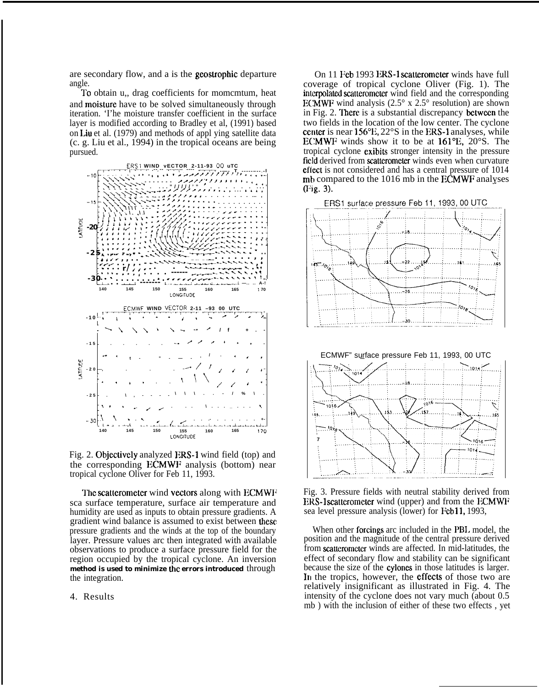are secondary flow, and a is the geostrophic departure angle.

To obtain u,, drag coefficients for momcmtum, heat and moislure have to be solved simultaneously through iteration. 'I'he moisture transfer coefficient in the surface layer is modified according to Bradley et al, (1991) based on Liu et al. (1979) and methods of appl ying satellite data (c. g. Liu et al., 1994) in the tropical oceans are being pursued.



Fig. 2. Objectively analyzed ERS-1 wind field (top) and the corresponding ECMWF analysis (bottom) near tropical cyclone Oliver for Feb 11, 1993.

The scatterometer wind vectors along with ECMWF sca surface temperature, surface air temperature and humidity are used as inputs to obtain pressure gradients. A gradient wind balance is assumed to exist between these pressure gradients and the winds at the top of the boundary layer. Pressure values arc then integrated with available observations to produce a surface pressure field for the region occupied by the tropical cyclone. An inversion method is used to minimize the errors introduced through the integration.

4. Results

On 11 Feb 1993 ERS-1 scatterometer winds have full coverage of tropical cyclone Oliver (Fig. 1). The interpolated scatterometer wind field and the corresponding ECMWF wind analysis  $(2.5^{\circ} \times 2.5^{\circ} \text{ resolution})$  are shown in Fig. 2. There is a substantial discrepancy between the two fields in the location of the low center. The cyclone center is near  $156^{\circ}$ E,  $22^{\circ}$ S in the ERS-1 analyses, while ECMWF winds show it to be at 161°E, 20°S. The tropical cyclone exibits stronger intensity in the pressure field derived from scatterometer winds even when curvature effect is not considered and has a central pressure of 1014 mb compared to the 1016 mb in the ECMWF analyses (Fig. 3).



Fig. 3. Pressure fields with neutral stability derived from ERS-1 scatterometer wind (upper) and from the ECMWF sea level pressure analysis (lower) for Fcb 11, 1993,

When other forcings arc included in the PB1. model, the position and the magnitude of the central pressure derived from scatterometer winds are affected. In mid-latitudes, the effect of secondary flow and stability can be significant because the size of the cylones in those latitudes is larger. In the tropics, however, the effects of those two are relatively insignificant as illustrated in Fig. 4. The intensity of the cyclone does not vary much (about 0.5 mb ) with the inclusion of either of these two effects , yet